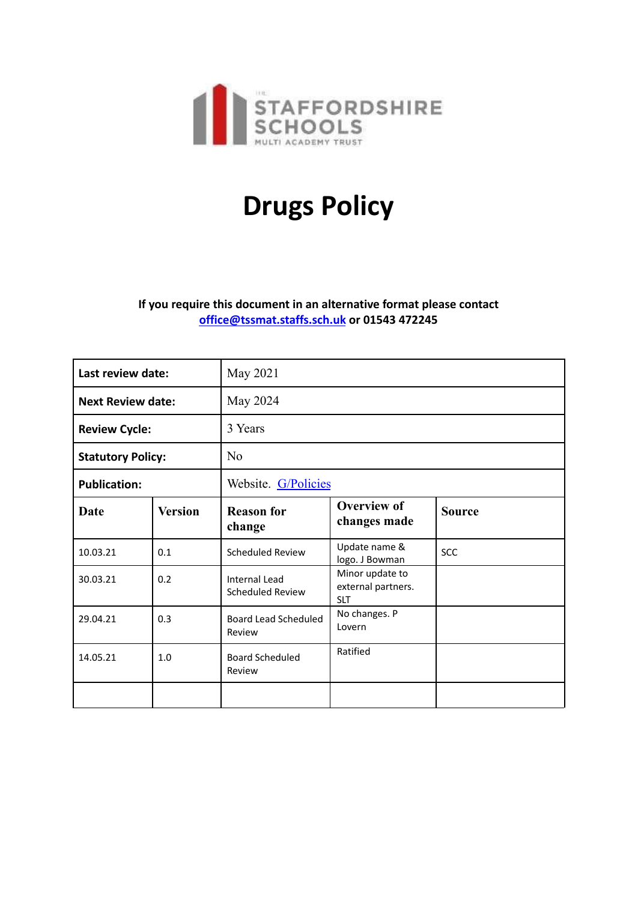

# **Drugs Policy**

## **If you require this document in an alternative format please contact [office@tssmat.staffs.sch.uk](mailto:office@tssmat.staffs.sch.uk) or 01543 472245**

| Last review date:        |                | May 2021                                        |                                                     |               |
|--------------------------|----------------|-------------------------------------------------|-----------------------------------------------------|---------------|
| <b>Next Review date:</b> |                | May 2024                                        |                                                     |               |
| <b>Review Cycle:</b>     |                | 3 Years                                         |                                                     |               |
| <b>Statutory Policy:</b> |                | N <sub>0</sub>                                  |                                                     |               |
| <b>Publication:</b>      |                | Website. G/Policies                             |                                                     |               |
| Date                     | <b>Version</b> | <b>Reason for</b><br>change                     | <b>Overview of</b><br>changes made                  | <b>Source</b> |
| 10.03.21                 | 0.1            | <b>Scheduled Review</b>                         | Update name &<br>logo. J Bowman                     | SCC           |
| 30.03.21                 | 0.2            | <b>Internal Lead</b><br><b>Scheduled Review</b> | Minor update to<br>external partners.<br><b>SLT</b> |               |
| 29.04.21                 | 0.3            | <b>Board Lead Scheduled</b><br>Review           | No changes. P<br>Lovern                             |               |
| 14.05.21                 | 1.0            | <b>Board Scheduled</b><br>Review                | Ratified                                            |               |
|                          |                |                                                 |                                                     |               |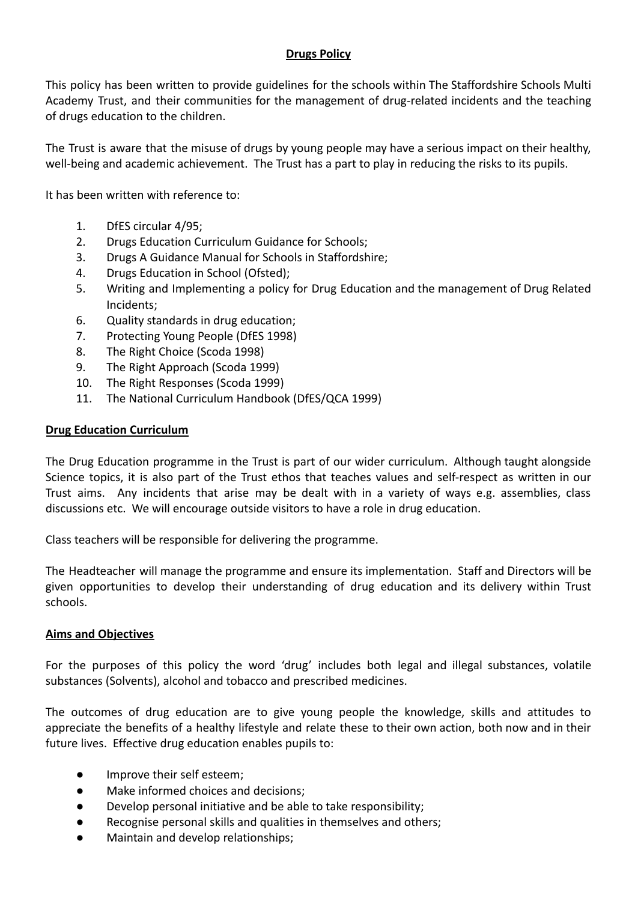## **Drugs Policy**

This policy has been written to provide guidelines for the schools within The Staffordshire Schools Multi Academy Trust, and their communities for the management of drug-related incidents and the teaching of drugs education to the children.

The Trust is aware that the misuse of drugs by young people may have a serious impact on their healthy, well-being and academic achievement. The Trust has a part to play in reducing the risks to its pupils.

It has been written with reference to:

- 1. DfES circular 4/95;
- 2. Drugs Education Curriculum Guidance for Schools;
- 3. Drugs A Guidance Manual for Schools in Staffordshire;
- 4. Drugs Education in School (Ofsted);
- 5. Writing and Implementing a policy for Drug Education and the management of Drug Related Incidents;
- 6. Quality standards in drug education;
- 7. Protecting Young People (DfES 1998)
- 8. The Right Choice (Scoda 1998)
- 9. The Right Approach (Scoda 1999)
- 10. The Right Responses (Scoda 1999)
- 11. The National Curriculum Handbook (DfES/QCA 1999)

### **Drug Education Curriculum**

The Drug Education programme in the Trust is part of our wider curriculum. Although taught alongside Science topics, it is also part of the Trust ethos that teaches values and self-respect as written in our Trust aims. Any incidents that arise may be dealt with in a variety of ways e.g. assemblies, class discussions etc. We will encourage outside visitors to have a role in drug education.

Class teachers will be responsible for delivering the programme.

The Headteacher will manage the programme and ensure its implementation. Staff and Directors will be given opportunities to develop their understanding of drug education and its delivery within Trust schools.

#### **Aims and Objectives**

For the purposes of this policy the word 'drug' includes both legal and illegal substances, volatile substances (Solvents), alcohol and tobacco and prescribed medicines.

The outcomes of drug education are to give young people the knowledge, skills and attitudes to appreciate the benefits of a healthy lifestyle and relate these to their own action, both now and in their future lives. Effective drug education enables pupils to:

- Improve their self esteem;
- Make informed choices and decisions;
- Develop personal initiative and be able to take responsibility;
- Recognise personal skills and qualities in themselves and others;
- Maintain and develop relationships;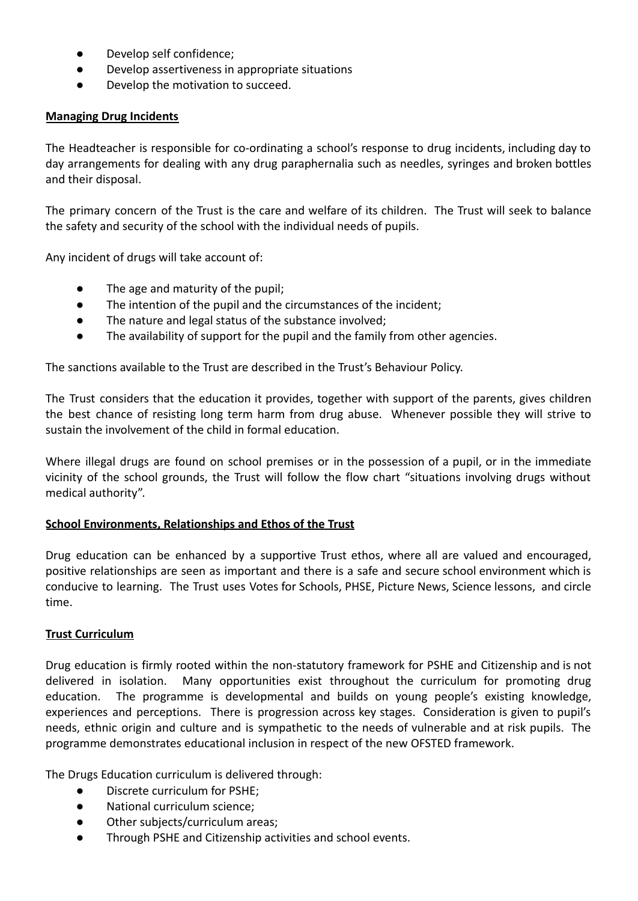- Develop self confidence;
- Develop assertiveness in appropriate situations
- Develop the motivation to succeed.

## **Managing Drug Incidents**

The Headteacher is responsible for co-ordinating a school's response to drug incidents, including day to day arrangements for dealing with any drug paraphernalia such as needles, syringes and broken bottles and their disposal.

The primary concern of the Trust is the care and welfare of its children. The Trust will seek to balance the safety and security of the school with the individual needs of pupils.

Any incident of drugs will take account of:

- The age and maturity of the pupil;
- The intention of the pupil and the circumstances of the incident;
- The nature and legal status of the substance involved;
- The availability of support for the pupil and the family from other agencies.

The sanctions available to the Trust are described in the Trust's Behaviour Policy.

The Trust considers that the education it provides, together with support of the parents, gives children the best chance of resisting long term harm from drug abuse. Whenever possible they will strive to sustain the involvement of the child in formal education.

Where illegal drugs are found on school premises or in the possession of a pupil, or in the immediate vicinity of the school grounds, the Trust will follow the flow chart "situations involving drugs without medical authority".

## **School Environments, Relationships and Ethos of the Trust**

Drug education can be enhanced by a supportive Trust ethos, where all are valued and encouraged, positive relationships are seen as important and there is a safe and secure school environment which is conducive to learning. The Trust uses Votes for Schools, PHSE, Picture News, Science lessons, and circle time.

#### **Trust Curriculum**

Drug education is firmly rooted within the non-statutory framework for PSHE and Citizenship and is not delivered in isolation. Many opportunities exist throughout the curriculum for promoting drug education. The programme is developmental and builds on young people's existing knowledge, experiences and perceptions. There is progression across key stages. Consideration is given to pupil's needs, ethnic origin and culture and is sympathetic to the needs of vulnerable and at risk pupils. The programme demonstrates educational inclusion in respect of the new OFSTED framework.

The Drugs Education curriculum is delivered through:

- Discrete curriculum for PSHE;
- National curriculum science;
- Other subjects/curriculum areas;
- Through PSHE and Citizenship activities and school events.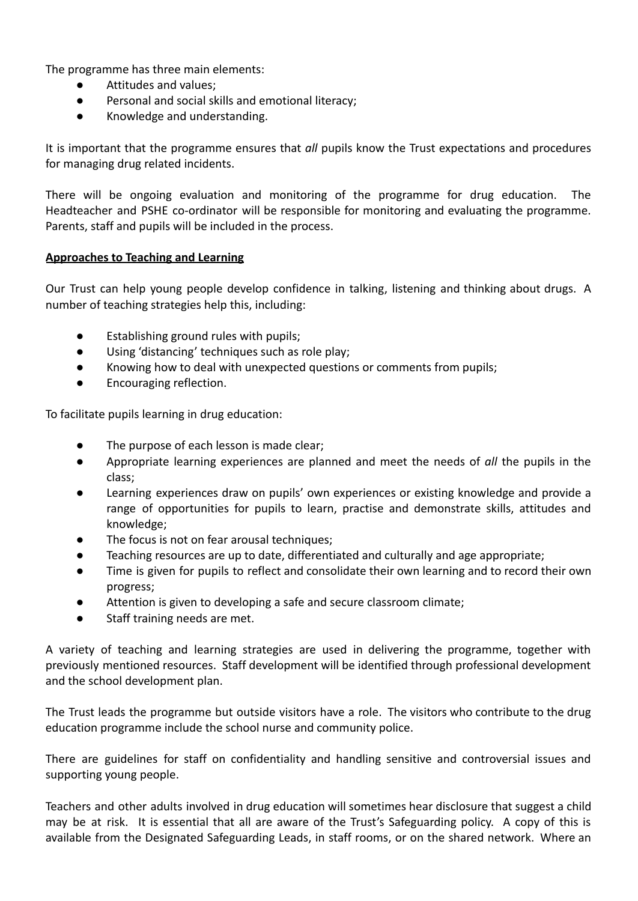The programme has three main elements:

- Attitudes and values:
- Personal and social skills and emotional literacy;
- Knowledge and understanding.

It is important that the programme ensures that *all* pupils know the Trust expectations and procedures for managing drug related incidents.

There will be ongoing evaluation and monitoring of the programme for drug education. The Headteacher and PSHE co-ordinator will be responsible for monitoring and evaluating the programme. Parents, staff and pupils will be included in the process.

#### **Approaches to Teaching and Learning**

Our Trust can help young people develop confidence in talking, listening and thinking about drugs. A number of teaching strategies help this, including:

- Establishing ground rules with pupils;
- Using 'distancing' techniques such as role play;
- Knowing how to deal with unexpected questions or comments from pupils;
- Encouraging reflection.

To facilitate pupils learning in drug education:

- The purpose of each lesson is made clear;
- Appropriate learning experiences are planned and meet the needs of *all* the pupils in the class;
- Learning experiences draw on pupils' own experiences or existing knowledge and provide a range of opportunities for pupils to learn, practise and demonstrate skills, attitudes and knowledge;
- The focus is not on fear arousal techniques;
- Teaching resources are up to date, differentiated and culturally and age appropriate;
- Time is given for pupils to reflect and consolidate their own learning and to record their own progress;
- Attention is given to developing a safe and secure classroom climate;
- Staff training needs are met.

A variety of teaching and learning strategies are used in delivering the programme, together with previously mentioned resources. Staff development will be identified through professional development and the school development plan.

The Trust leads the programme but outside visitors have a role. The visitors who contribute to the drug education programme include the school nurse and community police.

There are guidelines for staff on confidentiality and handling sensitive and controversial issues and supporting young people.

Teachers and other adults involved in drug education will sometimes hear disclosure that suggest a child may be at risk. It is essential that all are aware of the Trust's Safeguarding policy. A copy of this is available from the Designated Safeguarding Leads, in staff rooms, or on the shared network. Where an